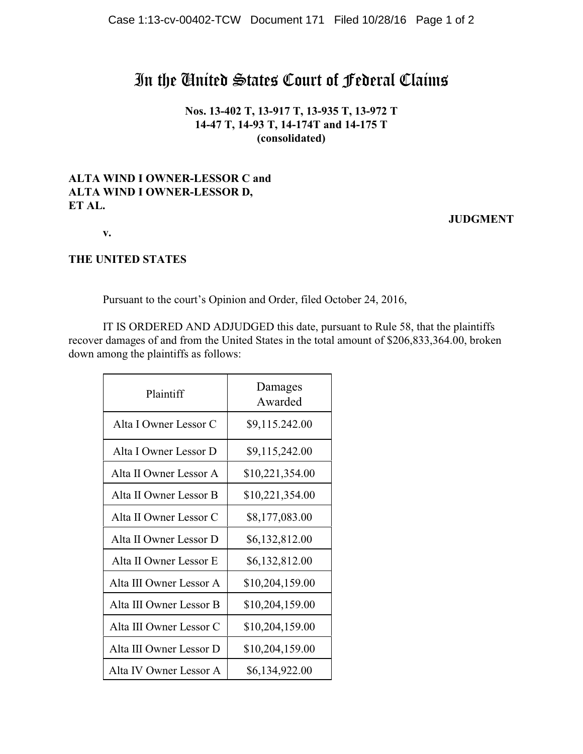## In the United States Court of Federal Claims

**Nos. 13-402 T, 13-917 T, 13-935 T, 13-972 T 14-47 T, 14-93 T, 14-174T and 14-175 T (consolidated)**

## **ALTA WIND I OWNER-LESSOR C and ALTA WIND I OWNER-LESSOR D, ET AL.**

## **JUDGMENT**

**v.**

## **THE UNITED STATES**

Pursuant to the court's Opinion and Order, filed October 24, 2016,

IT IS ORDERED AND ADJUDGED this date, pursuant to Rule 58, that the plaintiffs recover damages of and from the United States in the total amount of \$206,833,364.00, broken down among the plaintiffs as follows:

| Plaintiff               | Damages<br>Awarded |
|-------------------------|--------------------|
| Alta I Owner Lessor C   | \$9,115.242.00     |
| Alta I Owner Lessor D   | \$9,115,242.00     |
| Alta II Owner Lessor A  | \$10,221,354.00    |
| Alta II Owner Lessor B  | \$10,221,354.00    |
| Alta II Owner Lessor C  | \$8,177,083.00     |
| Alta II Owner Lessor D  | \$6,132,812.00     |
| Alta II Owner Lessor E  | \$6,132,812.00     |
| Alta III Owner Lessor A | \$10,204,159.00    |
| Alta III Owner Lessor B | \$10,204,159.00    |
| Alta III Owner Lessor C | \$10,204,159.00    |
| Alta III Owner Lessor D | \$10,204,159.00    |
| Alta IV Owner Lessor A  | \$6,134,922.00     |